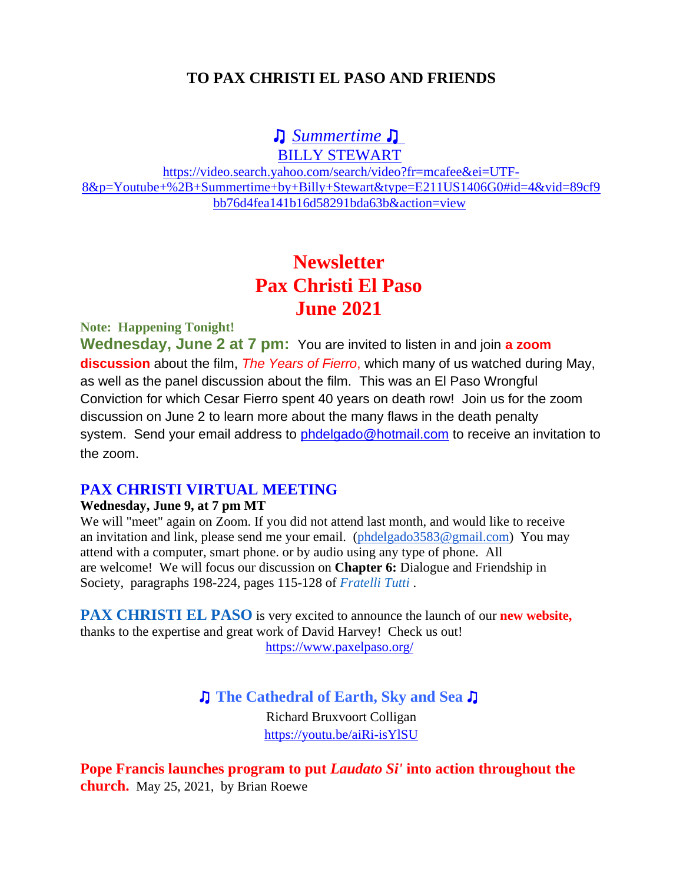## **TO PAX CHRISTI EL PASO AND FRIENDS**

## ♫ *[Summertime](https://na01.safelinks.protection.outlook.com/?url=https%3A%2F%2Fsearch.aol.com%2Fclick%2F_ylt%3DAwrJ7JyPxJ5goHAAiGRpCWVH%3B_ylu%3DY29sbwNiZjEEcG9zAzEEdnRpZAMEc2VjA3Ny%2FRV%3D2%2FRE%3D1621046545%2FRO%3D10%2FRU%3Dhttps%253a%252f%252fwww.youtube.com%252fwatch%253fv%253dkTVQ4czdUn0%2FRK%3D0%2FRS%3DOEGJgG_QifedxclS1dMceSnTfzc-&data=04%7C01%7C%7C53b78db0889c459ddde208d92bbf9212%7C84df9e7fe9f640afb435aaaaaaaaaaaa%7C1%7C0%7C637588924101597073%7CUnknown%7CTWFpbGZsb3d8eyJWIjoiMC4wLjAwMDAiLCJQIjoiV2luMzIiLCJBTiI6Ik1haWwiLCJXVCI6Mn0%3D%7C1000&sdata=qxVIeWkpS04EWGau5X%2BR6AqGAfWDE65F4SOc9ba36kE%3D&reserved=0)* ♫

BILLY STEWART

[https://video.search.yahoo.com/search/video?fr=mcafee&ei=UTF-](https://na01.safelinks.protection.outlook.com/?url=https%3A%2F%2Fvideo.search.yahoo.com%2Fsearch%2Fvideo%3Ffr%3Dmcafee%26ei%3DUTF-8%26p%3DYoutube%2B%252B%2BSummertime%2Bby%2BBilly%2BStewart%26type%3DE211US1406G0%23id%3D4%26vid%3D89cf9bb76d4fea141b16d58291bda63b%26action%3Dview&data=04%7C01%7C%7C53b78db0889c459ddde208d92bbf9212%7C84df9e7fe9f640afb435aaaaaaaaaaaa%7C1%7C0%7C637588924101607075%7CUnknown%7CTWFpbGZsb3d8eyJWIjoiMC4wLjAwMDAiLCJQIjoiV2luMzIiLCJBTiI6Ik1haWwiLCJXVCI6Mn0%3D%7C1000&sdata=syG%2BiqyarXEFo8v1d6pwvQmXFD4s0uShe3HxrS1H55k%3D&reserved=0)[8&p=Youtube+%2B+Summertime+by+Billy+Stewart&type=E211US1406G0#id=4&vid=89cf9](https://na01.safelinks.protection.outlook.com/?url=https%3A%2F%2Fvideo.search.yahoo.com%2Fsearch%2Fvideo%3Ffr%3Dmcafee%26ei%3DUTF-8%26p%3DYoutube%2B%252B%2BSummertime%2Bby%2BBilly%2BStewart%26type%3DE211US1406G0%23id%3D4%26vid%3D89cf9bb76d4fea141b16d58291bda63b%26action%3Dview&data=04%7C01%7C%7C53b78db0889c459ddde208d92bbf9212%7C84df9e7fe9f640afb435aaaaaaaaaaaa%7C1%7C0%7C637588924101607075%7CUnknown%7CTWFpbGZsb3d8eyJWIjoiMC4wLjAwMDAiLCJQIjoiV2luMzIiLCJBTiI6Ik1haWwiLCJXVCI6Mn0%3D%7C1000&sdata=syG%2BiqyarXEFo8v1d6pwvQmXFD4s0uShe3HxrS1H55k%3D&reserved=0) [bb76d4fea141b16d58291bda63b&action=view](https://na01.safelinks.protection.outlook.com/?url=https%3A%2F%2Fvideo.search.yahoo.com%2Fsearch%2Fvideo%3Ffr%3Dmcafee%26ei%3DUTF-8%26p%3DYoutube%2B%252B%2BSummertime%2Bby%2BBilly%2BStewart%26type%3DE211US1406G0%23id%3D4%26vid%3D89cf9bb76d4fea141b16d58291bda63b%26action%3Dview&data=04%7C01%7C%7C53b78db0889c459ddde208d92bbf9212%7C84df9e7fe9f640afb435aaaaaaaaaaaa%7C1%7C0%7C637588924101607075%7CUnknown%7CTWFpbGZsb3d8eyJWIjoiMC4wLjAwMDAiLCJQIjoiV2luMzIiLCJBTiI6Ik1haWwiLCJXVCI6Mn0%3D%7C1000&sdata=syG%2BiqyarXEFo8v1d6pwvQmXFD4s0uShe3HxrS1H55k%3D&reserved=0)

## **Newsletter Pax Christi El Paso June 2021**

#### **Note: Happening Tonight!**

**Wednesday, June 2 at 7 pm:** You are invited to listen in and join **a zoom discussion** about the film, *The Years of Fierro*, which many of us watched during May, as well as the panel discussion about the film. This was an El Paso Wrongful Conviction for which Cesar Fierro spent 40 years on death row! Join us for the zoom discussion on June 2 to learn more about the many flaws in the death penalty system. Send your email address to **phdelgado@hotmail.com** to receive an invitation to the zoom.

#### **PAX CHRISTI VIRTUAL MEETING**

#### **Wednesday, June 9, at 7 pm MT**

We will "meet" again on Zoom. If you did not attend last month, and would like to receive an invitation and link, please send me your email. [\(phdelgado3583@gmail.com\)](mailto:phdelgado3583@gmail.com) You may attend with a computer, smart phone. or by audio using any type of phone. All are welcome! We will focus our discussion on **Chapter 6:** Dialogue and Friendship in Society, paragraphs 198-224, pages 115-128 of *Fratelli Tutti* .

**PAX CHRISTI EL PASO** is very excited to announce the launch of our **new website,** thanks to the expertise and great work of David Harvey! Check us out! [https://www.paxelpaso.org/](https://na01.safelinks.protection.outlook.com/?url=https%3A%2F%2Fwww.paxelpaso.org%2F&data=04%7C01%7C%7C53b78db0889c459ddde208d92bbf9212%7C84df9e7fe9f640afb435aaaaaaaaaaaa%7C1%7C0%7C637588924101617068%7CUnknown%7CTWFpbGZsb3d8eyJWIjoiMC4wLjAwMDAiLCJQIjoiV2luMzIiLCJBTiI6Ik1haWwiLCJXVCI6Mn0%3D%7C1000&sdata=MQEpqn4tRs98%2Fmg925YbPTU%2FpbQMO8N8hdidCULb7W4%3D&reserved=0)

♫ **The Cathedral of Earth, Sky and Sea** ♫

Richard Bruxvoort Colligan [https://youtu.be/aiRi-isYlSU](https://na01.safelinks.protection.outlook.com/?url=https%3A%2F%2Fyoutu.be%2FaiRi-isYlSU&data=04%7C01%7C%7C53b78db0889c459ddde208d92bbf9212%7C84df9e7fe9f640afb435aaaaaaaaaaaa%7C1%7C0%7C637588924101617068%7CUnknown%7CTWFpbGZsb3d8eyJWIjoiMC4wLjAwMDAiLCJQIjoiV2luMzIiLCJBTiI6Ik1haWwiLCJXVCI6Mn0%3D%7C1000&sdata=Umv2s%2BzTflZn0cf5IqYeltvwKQe6Bzqeoll8KQBVC6A%3D&reserved=0)

**Pope Francis launches program to put** *Laudato Si'* **into action throughout the church.** May 25, 2021, by Brian Roewe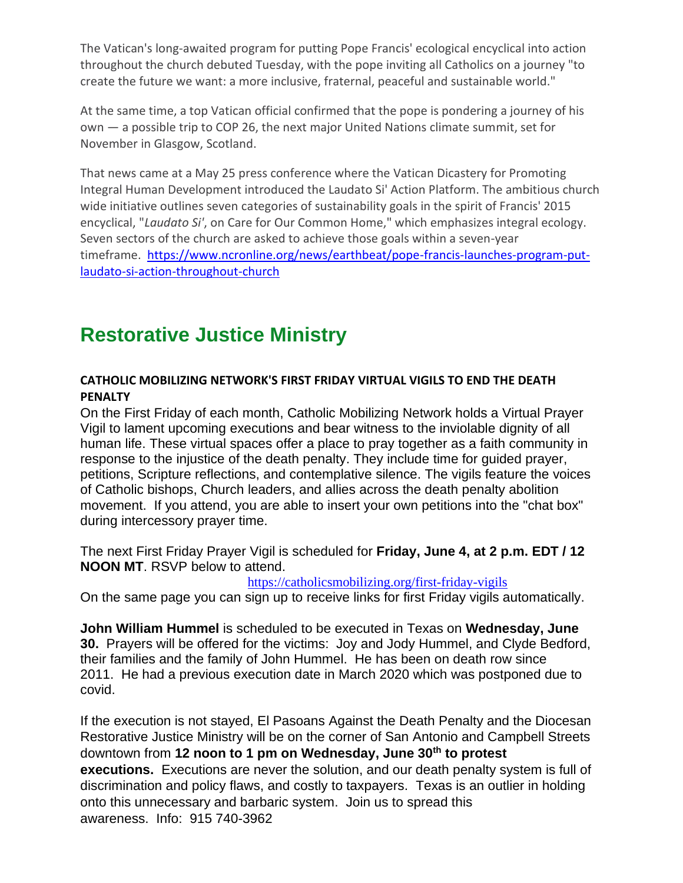The Vatican's long-awaited program for putting Pope Francis' ecological encyclical into action throughout the church debuted Tuesday, with the pope inviting all Catholics on a journey "to create the future we want: a more inclusive, fraternal, peaceful and sustainable world."

At the same time, a top Vatican official confirmed that the pope is pondering a journey of his own — a possible trip to COP 26, the next major United Nations climate summit, set for November in Glasgow, Scotland.

That news came at a May 25 press conference where the Vatican Dicastery for Promoting Integral Human Development introduced the Laudato Si' Action Platform. The ambitious church wide initiative outlines seven categories of sustainability goals in the spirit of Francis' 2015 encyclical, "*Laudato Si'*, on Care for Our Common Home," which emphasizes integral ecology. Seven sectors of the church are asked to achieve those goals within a seven-year timeframe. [https://www.ncronline.org/news/earthbeat/pope-francis-launches-program-put](https://na01.safelinks.protection.outlook.com/?url=https%3A%2F%2Fwww.ncronline.org%2Fnews%2Fearthbeat%2Fpope-francis-launches-program-put-laudato-si-action-throughout-church&data=04%7C01%7C%7C53b78db0889c459ddde208d92bbf9212%7C84df9e7fe9f640afb435aaaaaaaaaaaa%7C1%7C0%7C637588924101617068%7CUnknown%7CTWFpbGZsb3d8eyJWIjoiMC4wLjAwMDAiLCJQIjoiV2luMzIiLCJBTiI6Ik1haWwiLCJXVCI6Mn0%3D%7C1000&sdata=QlP2anCcbfRq4e%2B%2FW%2FPAM7EjKGLwU7vxwUUAX4IK%2Fuw%3D&reserved=0)[laudato-si-action-throughout-church](https://na01.safelinks.protection.outlook.com/?url=https%3A%2F%2Fwww.ncronline.org%2Fnews%2Fearthbeat%2Fpope-francis-launches-program-put-laudato-si-action-throughout-church&data=04%7C01%7C%7C53b78db0889c459ddde208d92bbf9212%7C84df9e7fe9f640afb435aaaaaaaaaaaa%7C1%7C0%7C637588924101617068%7CUnknown%7CTWFpbGZsb3d8eyJWIjoiMC4wLjAwMDAiLCJQIjoiV2luMzIiLCJBTiI6Ik1haWwiLCJXVCI6Mn0%3D%7C1000&sdata=QlP2anCcbfRq4e%2B%2FW%2FPAM7EjKGLwU7vxwUUAX4IK%2Fuw%3D&reserved=0)

## **Restorative Justice Ministry**

#### **CATHOLIC MOBILIZING NETWORK'S FIRST FRIDAY VIRTUAL VIGILS TO END THE DEATH PENALTY**

On the First Friday of each month, Catholic Mobilizing Network holds a Virtual Prayer Vigil to lament upcoming executions and bear witness to the inviolable dignity of all human life. These virtual spaces offer a place to pray together as a faith community in response to the injustice of the death penalty. They include time for guided prayer, petitions, Scripture reflections, and contemplative silence. The vigils feature the voices of Catholic bishops, Church leaders, and allies across the death penalty abolition movement. If you attend, you are able to insert your own petitions into the "chat box" during intercessory prayer time.

The next First Friday Prayer Vigil is scheduled for **Friday, June 4, at 2 p.m. EDT / 12 NOON MT**. RSVP below to attend.

[https://catholicsmobilizing.org/first-friday-vigils](https://na01.safelinks.protection.outlook.com/?url=https%3A%2F%2Fcatholicsmobilizing.org%2Ffirst-friday-vigils&data=04%7C01%7C%7C53b78db0889c459ddde208d92bbf9212%7C84df9e7fe9f640afb435aaaaaaaaaaaa%7C1%7C0%7C637588924101627059%7CUnknown%7CTWFpbGZsb3d8eyJWIjoiMC4wLjAwMDAiLCJQIjoiV2luMzIiLCJBTiI6Ik1haWwiLCJXVCI6Mn0%3D%7C1000&sdata=EPP8xxY%2BJ%2BDwpkwwZ0Wy41LgJzgR82qPeyg4lzmADrc%3D&reserved=0)

On the same page you can sign up to receive links for first Friday vigils automatically.

**John William Hummel** is scheduled to be executed in Texas on **Wednesday, June 30.** Prayers will be offered for the victims: Joy and Jody Hummel, and Clyde Bedford, their families and the family of John Hummel. He has been on death row since 2011. He had a previous execution date in March 2020 which was postponed due to covid.

If the execution is not stayed, El Pasoans Against the Death Penalty and the Diocesan Restorative Justice Ministry will be on the corner of San Antonio and Campbell Streets downtown from **12 noon to 1 pm on Wednesday, June 30th to protest executions.** Executions are never the solution, and our death penalty system is full of discrimination and policy flaws, and costly to taxpayers. Texas is an outlier in holding onto this unnecessary and barbaric system. Join us to spread this awareness. Info: 915 740-3962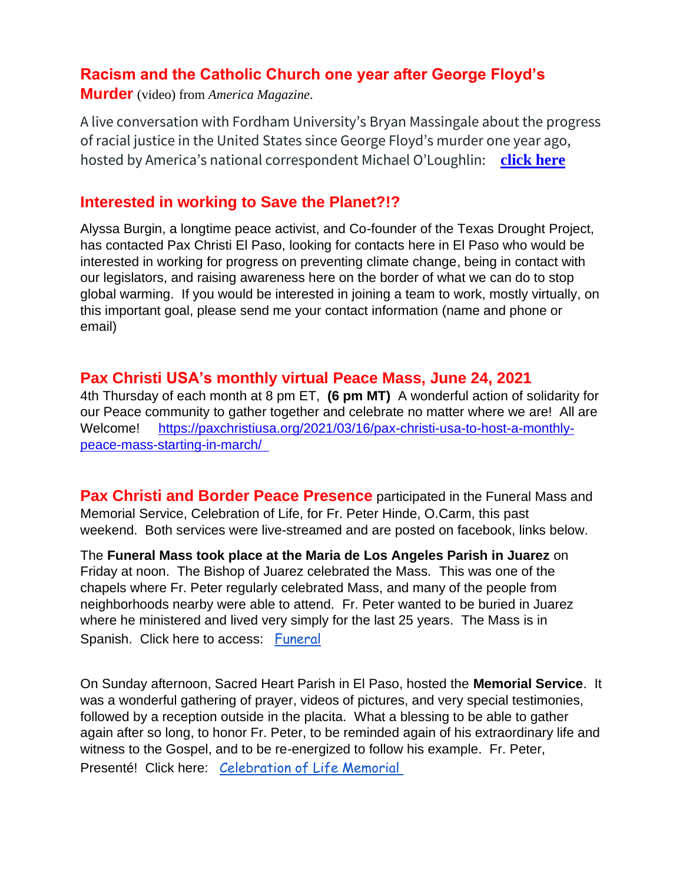## **Racism and the Catholic Church one year after George Floyd's**

**Murder** (video) from *America Magazine*.

A live conversation with Fordham University's Bryan Massingale about the progress of racial justice in the United States since George Floyd's murder one year ago, hosted by America's national correspondent Michael O'Loughlin: **[click here](https://na01.safelinks.protection.outlook.com/?url=https%3A%2F%2Fpaxchristiusa.org%2F2021%2F05%2F25%2Fracism-and-the-catholic-church-one-year-after-george-floyds-murder%2F&data=04%7C01%7C%7C53b78db0889c459ddde208d92bbf9212%7C84df9e7fe9f640afb435aaaaaaaaaaaa%7C1%7C0%7C637588924101627059%7CUnknown%7CTWFpbGZsb3d8eyJWIjoiMC4wLjAwMDAiLCJQIjoiV2luMzIiLCJBTiI6Ik1haWwiLCJXVCI6Mn0%3D%7C1000&sdata=zpaBCTmDXldGgHP87XKp9ZVDWhDRvLuYw2ChPxHBEqQ%3D&reserved=0)**

### **Interested in working to Save the Planet?!?**

Alyssa Burgin, a longtime peace activist, and Co-founder of the Texas Drought Project, has contacted Pax Christi El Paso, looking for contacts here in El Paso who would be interested in working for progress on preventing climate change, being in contact with our legislators, and raising awareness here on the border of what we can do to stop global warming. If you would be interested in joining a team to work, mostly virtually, on this important goal, please send me your contact information (name and phone or email)

#### **Pax Christi USA's monthly virtual Peace Mass, June 24, 2021**

4th Thursday of each month at 8 pm ET, **(6 pm MT)** A wonderful action of solidarity for our Peace community to gather together and celebrate no matter where we are! All are Welcome! [https://paxchristiusa.org/2021/03/16/pax-christi-usa-to-host-a-monthly](https://na01.safelinks.protection.outlook.com/?url=https%3A%2F%2Fpaxchristiusa.org%2F2021%2F03%2F16%2Fpax-christi-usa-to-host-a-monthly-peace-mass-starting-in-march%2F&data=04%7C01%7C%7C53b78db0889c459ddde208d92bbf9212%7C84df9e7fe9f640afb435aaaaaaaaaaaa%7C1%7C0%7C637588924101637053%7CUnknown%7CTWFpbGZsb3d8eyJWIjoiMC4wLjAwMDAiLCJQIjoiV2luMzIiLCJBTiI6Ik1haWwiLCJXVCI6Mn0%3D%7C1000&sdata=y2i5a8XGi0W%2FklPWwufzm39U1lwRpUdKdJmC%2BLOKdVg%3D&reserved=0)[peace-mass-starting-in-march/](https://na01.safelinks.protection.outlook.com/?url=https%3A%2F%2Fpaxchristiusa.org%2F2021%2F03%2F16%2Fpax-christi-usa-to-host-a-monthly-peace-mass-starting-in-march%2F&data=04%7C01%7C%7C53b78db0889c459ddde208d92bbf9212%7C84df9e7fe9f640afb435aaaaaaaaaaaa%7C1%7C0%7C637588924101637053%7CUnknown%7CTWFpbGZsb3d8eyJWIjoiMC4wLjAwMDAiLCJQIjoiV2luMzIiLCJBTiI6Ik1haWwiLCJXVCI6Mn0%3D%7C1000&sdata=y2i5a8XGi0W%2FklPWwufzm39U1lwRpUdKdJmC%2BLOKdVg%3D&reserved=0) 

**Pax Christi and Border Peace Presence** participated in the Funeral Mass and Memorial Service, Celebration of Life, for Fr. Peter Hinde, O.Carm, this past weekend. Both services were live-streamed and are posted on facebook, links below.

The **Funeral Mass took place at the Maria de Los Angeles Parish in Juarez** on Friday at noon. The Bishop of Juarez celebrated the Mass. This was one of the chapels where Fr. Peter regularly celebrated Mass, and many of the people from neighborhoods nearby were able to attend. Fr. Peter wanted to be buried in Juarez where he ministered and lived very simply for the last 25 years. The Mass is in Spanish. Click here to access: [Funeral](https://na01.safelinks.protection.outlook.com/?url=https%3A%2F%2Fwww.facebook.com%2F100002299493250%2Fvideos%2F4008482602571683%2F&data=04%7C01%7C%7C53b78db0889c459ddde208d92bbf9212%7C84df9e7fe9f640afb435aaaaaaaaaaaa%7C1%7C0%7C637588924101637053%7CUnknown%7CTWFpbGZsb3d8eyJWIjoiMC4wLjAwMDAiLCJQIjoiV2luMzIiLCJBTiI6Ik1haWwiLCJXVCI6Mn0%3D%7C1000&sdata=wYJDXT812kvj79t4xeeWSWD3pFjh20cSYrulh5zCaOo%3D&reserved=0) 

On Sunday afternoon, Sacred Heart Parish in El Paso, hosted the **Memorial Service**. It was a wonderful gathering of prayer, videos of pictures, and very special testimonies, followed by a reception outside in the placita. What a blessing to be able to gather again after so long, to honor Fr. Peter, to be reminded again of his extraordinary life and witness to the Gospel, and to be re-energized to follow his example. Fr. Peter, Presenté! Click here: [Celebration of Life Memorial](https://na01.safelinks.protection.outlook.com/?url=https%3A%2F%2Fwww.facebook.com%2Fwatch%2Flive%2F%3Fv%3D508349023687021%26ref%3Dwatch_permalink&data=04%7C01%7C%7C53b78db0889c459ddde208d92bbf9212%7C84df9e7fe9f640afb435aaaaaaaaaaaa%7C1%7C0%7C637588924101647053%7CUnknown%7CTWFpbGZsb3d8eyJWIjoiMC4wLjAwMDAiLCJQIjoiV2luMzIiLCJBTiI6Ik1haWwiLCJXVCI6Mn0%3D%7C1000&sdata=SbNy4lM7roDEQeuqgxk22uszfTgR%2BP7DTIM%2B6odkuXw%3D&reserved=0)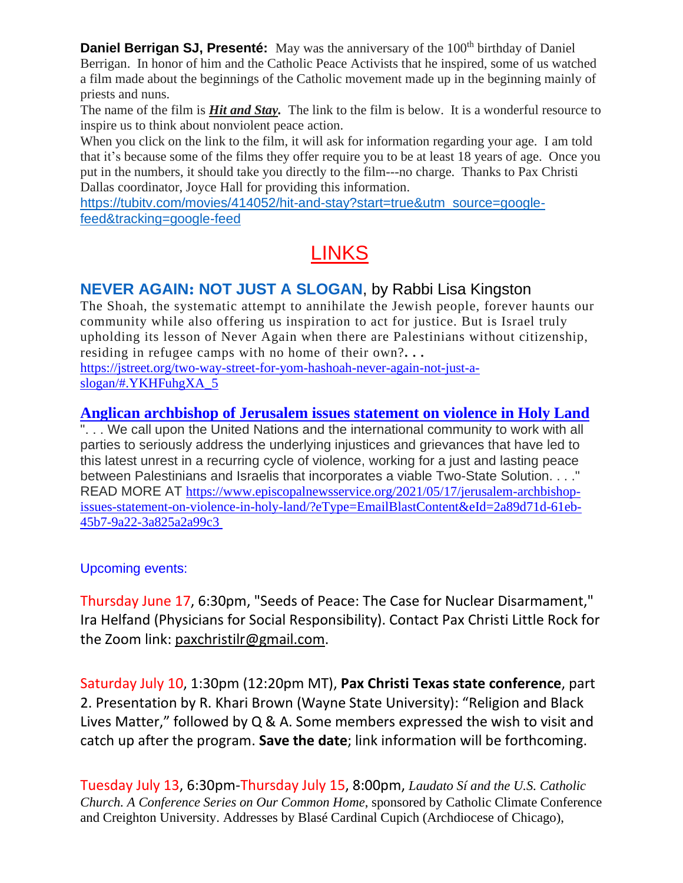**Daniel Berrigan SJ, Presenté:** May was the anniversary of the 100<sup>th</sup> birthday of Daniel Berrigan. In honor of him and the Catholic Peace Activists that he inspired, some of us watched a film made about the beginnings of the Catholic movement made up in the beginning mainly of priests and nuns.

The name of the film is *Hit and Stay.* The link to the film is below. It is a wonderful resource to inspire us to think about nonviolent peace action.

When you click on the link to the film, it will ask for information regarding your age. I am told that it's because some of the films they offer require you to be at least 18 years of age. Once you put in the numbers, it should take you directly to the film---no charge. Thanks to Pax Christi Dallas coordinator, Joyce Hall for providing this information.

[https://tubitv.com/movies/414052/hit-and-stay?start=true&utm\\_source=google](https://na01.safelinks.protection.outlook.com/?url=https%3A%2F%2Ftubitv.com%2Fmovies%2F414052%2Fhit-and-stay%3Fstart%3Dtrue%26utm_source%3Dgoogle-feed%26tracking%3Dgoogle-feed&data=04%7C01%7C%7C53b78db0889c459ddde208d92bbf9212%7C84df9e7fe9f640afb435aaaaaaaaaaaa%7C1%7C0%7C637588924101647053%7CUnknown%7CTWFpbGZsb3d8eyJWIjoiMC4wLjAwMDAiLCJQIjoiV2luMzIiLCJBTiI6Ik1haWwiLCJXVCI6Mn0%3D%7C1000&sdata=7hW3GBoHwUOp817TkeL9hhBHJQrHU4KKIzFrh7HLH2Q%3D&reserved=0)[feed&tracking=google-feed](https://na01.safelinks.protection.outlook.com/?url=https%3A%2F%2Ftubitv.com%2Fmovies%2F414052%2Fhit-and-stay%3Fstart%3Dtrue%26utm_source%3Dgoogle-feed%26tracking%3Dgoogle-feed&data=04%7C01%7C%7C53b78db0889c459ddde208d92bbf9212%7C84df9e7fe9f640afb435aaaaaaaaaaaa%7C1%7C0%7C637588924101647053%7CUnknown%7CTWFpbGZsb3d8eyJWIjoiMC4wLjAwMDAiLCJQIjoiV2luMzIiLCJBTiI6Ik1haWwiLCJXVCI6Mn0%3D%7C1000&sdata=7hW3GBoHwUOp817TkeL9hhBHJQrHU4KKIzFrh7HLH2Q%3D&reserved=0)

# **LINKS**

## **NEVER AGAIN: NOT JUST A SLOGAN**, by Rabbi Lisa Kingston

The Shoah, the systematic attempt to annihilate the Jewish people, forever haunts our community while also offering us inspiration to act for justice. But is Israel truly upholding its lesson of Never Again when there are Palestinians without citizenship, residing in refugee camps with no home of their own?**. . .** [https://jstreet.org/two-way-street-for-yom-hashoah-never-again-not-just-a-](https://na01.safelinks.protection.outlook.com/?url=https%3A%2F%2Fjstreet.org%2Ftwo-way-street-for-yom-hashoah-never-again-not-just-a-slogan%2F%23.YKHFuhgXA_5&data=04%7C01%7C%7C53b78db0889c459ddde208d92bbf9212%7C84df9e7fe9f640afb435aaaaaaaaaaaa%7C1%7C0%7C637588924101657043%7CUnknown%7CTWFpbGZsb3d8eyJWIjoiMC4wLjAwMDAiLCJQIjoiV2luMzIiLCJBTiI6Ik1haWwiLCJXVCI6Mn0%3D%7C1000&sdata=bK1OKlGwl4IWwr8EaOeu5dST7MUxtzvYOclMT4o%2Bft4%3D&reserved=0)

[slogan/#.YKHFuhgXA\\_5](https://na01.safelinks.protection.outlook.com/?url=https%3A%2F%2Fjstreet.org%2Ftwo-way-street-for-yom-hashoah-never-again-not-just-a-slogan%2F%23.YKHFuhgXA_5&data=04%7C01%7C%7C53b78db0889c459ddde208d92bbf9212%7C84df9e7fe9f640afb435aaaaaaaaaaaa%7C1%7C0%7C637588924101657043%7CUnknown%7CTWFpbGZsb3d8eyJWIjoiMC4wLjAwMDAiLCJQIjoiV2luMzIiLCJBTiI6Ik1haWwiLCJXVCI6Mn0%3D%7C1000&sdata=bK1OKlGwl4IWwr8EaOeu5dST7MUxtzvYOclMT4o%2Bft4%3D&reserved=0)

### **Anglican [archbishop](https://na01.safelinks.protection.outlook.com/?url=https%3A%2F%2Fwww.episcopalnewsservice.org%2F2021%2F05%2F17%2Fjerusalem-archbishop-issues-statement-on-violence-in-holy-land%2F%3FeType%3DEmailBlastContent%26eId%3D2a89d71d-61eb-45b7-9a22-3a825a2a99c3&data=04%7C01%7C%7C53b78db0889c459ddde208d92bbf9212%7C84df9e7fe9f640afb435aaaaaaaaaaaa%7C1%7C0%7C637588924101657043%7CUnknown%7CTWFpbGZsb3d8eyJWIjoiMC4wLjAwMDAiLCJQIjoiV2luMzIiLCJBTiI6Ik1haWwiLCJXVCI6Mn0%3D%7C1000&sdata=pVm49mChqpqtYrt5JDiKPQ%2FyZm24Dhu%2F7M4ZKYjLQKg%3D&reserved=0) of Jerusalem issues statement on violence in Holy Land**

 $\overline{r}$ ... We call upon the United Nations and the international community to work with all parties to seriously address the underlying injustices and grievances that have led to this latest unrest in a recurring cycle of violence, working for a just and lasting peace between Palestinians and Israelis that incorporates a viable Two-State Solution. . . ." READ MORE AT [https://www.episcopalnewsservice.org/2021/05/17/jerusalem-archbishop](https://na01.safelinks.protection.outlook.com/?url=https%3A%2F%2Fwww.episcopalnewsservice.org%2F2021%2F05%2F17%2Fjerusalem-archbishop-issues-statement-on-violence-in-holy-land%2F%3FeType%3DEmailBlastContent%26eId%3D2a89d71d-61eb-45b7-9a22-3a825a2a99c3&data=04%7C01%7C%7C53b78db0889c459ddde208d92bbf9212%7C84df9e7fe9f640afb435aaaaaaaaaaaa%7C1%7C0%7C637588924101667036%7CUnknown%7CTWFpbGZsb3d8eyJWIjoiMC4wLjAwMDAiLCJQIjoiV2luMzIiLCJBTiI6Ik1haWwiLCJXVCI6Mn0%3D%7C1000&sdata=0Jz5P62HzcA23Nl4TXsSQ3VgdEtUBHY7FOT7qL0dKEg%3D&reserved=0)[issues-statement-on-violence-in-holy-land/?eType=EmailBlastContent&eId=2a89d71d-61eb-](https://na01.safelinks.protection.outlook.com/?url=https%3A%2F%2Fwww.episcopalnewsservice.org%2F2021%2F05%2F17%2Fjerusalem-archbishop-issues-statement-on-violence-in-holy-land%2F%3FeType%3DEmailBlastContent%26eId%3D2a89d71d-61eb-45b7-9a22-3a825a2a99c3&data=04%7C01%7C%7C53b78db0889c459ddde208d92bbf9212%7C84df9e7fe9f640afb435aaaaaaaaaaaa%7C1%7C0%7C637588924101667036%7CUnknown%7CTWFpbGZsb3d8eyJWIjoiMC4wLjAwMDAiLCJQIjoiV2luMzIiLCJBTiI6Ik1haWwiLCJXVCI6Mn0%3D%7C1000&sdata=0Jz5P62HzcA23Nl4TXsSQ3VgdEtUBHY7FOT7qL0dKEg%3D&reserved=0)[45b7-9a22-3a825a2a99c3](https://na01.safelinks.protection.outlook.com/?url=https%3A%2F%2Fwww.episcopalnewsservice.org%2F2021%2F05%2F17%2Fjerusalem-archbishop-issues-statement-on-violence-in-holy-land%2F%3FeType%3DEmailBlastContent%26eId%3D2a89d71d-61eb-45b7-9a22-3a825a2a99c3&data=04%7C01%7C%7C53b78db0889c459ddde208d92bbf9212%7C84df9e7fe9f640afb435aaaaaaaaaaaa%7C1%7C0%7C637588924101667036%7CUnknown%7CTWFpbGZsb3d8eyJWIjoiMC4wLjAwMDAiLCJQIjoiV2luMzIiLCJBTiI6Ik1haWwiLCJXVCI6Mn0%3D%7C1000&sdata=0Jz5P62HzcA23Nl4TXsSQ3VgdEtUBHY7FOT7qL0dKEg%3D&reserved=0)

#### Upcoming events:

Thursday June 17, 6:30pm, "Seeds of Peace: The Case for Nuclear Disarmament," Ira Helfand (Physicians for Social Responsibility). Contact Pax Christi Little Rock for the Zoom link: [paxchristilr@gmail.com.](mailto:paxchristilr@gmail.com)

Saturday July 10, 1:30pm (12:20pm MT), **Pax Christi Texas state conference**, part 2. Presentation by R. Khari Brown (Wayne State University): "Religion and Black Lives Matter," followed by Q & A. Some members expressed the wish to visit and catch up after the program. **Save the date**; link information will be forthcoming.

Tuesday July 13, 6:30pm-Thursday July 15, 8:00pm, *Laudato Sí and the U.S. Catholic Church. A Conference Series on Our Common Home*, sponsored by Catholic Climate Conference and Creighton University. Addresses by Blasé Cardinal Cupich (Archdiocese of Chicago),